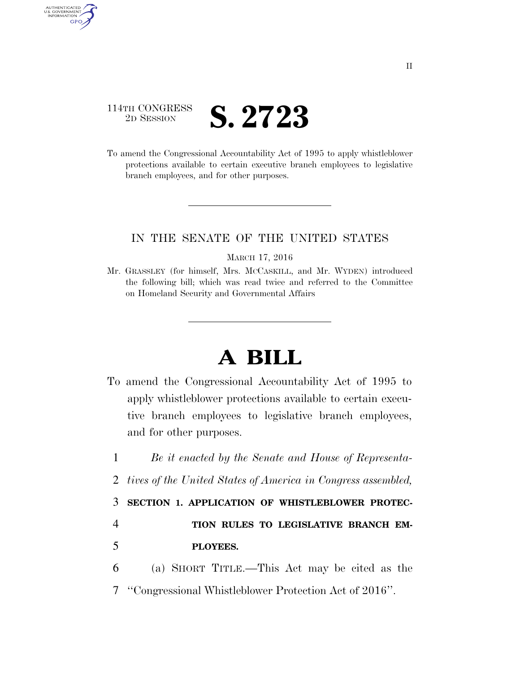## 114TH CONGRESS <sup>2D SESSION</sup> **S. 2723**

AUTHENTICATED<br>U.S. GOVERNMENT<br>INFORMATION **GPO** 

> To amend the Congressional Accountability Act of 1995 to apply whistleblower protections available to certain executive branch employees to legislative branch employees, and for other purposes.

## IN THE SENATE OF THE UNITED STATES

## MARCH 17, 2016

Mr. GRASSLEY (for himself, Mrs. MCCASKILL, and Mr. WYDEN) introduced the following bill; which was read twice and referred to the Committee on Homeland Security and Governmental Affairs

## **A BILL**

To amend the Congressional Accountability Act of 1995 to apply whistleblower protections available to certain executive branch employees to legislative branch employees, and for other purposes.

 *Be it enacted by the Senate and House of Representa- tives of the United States of America in Congress assembled,*  **SECTION 1. APPLICATION OF WHISTLEBLOWER PROTEC- TION RULES TO LEGISLATIVE BRANCH EM- PLOYEES.**  (a) SHORT TITLE.—This Act may be cited as the ''Congressional Whistleblower Protection Act of 2016''.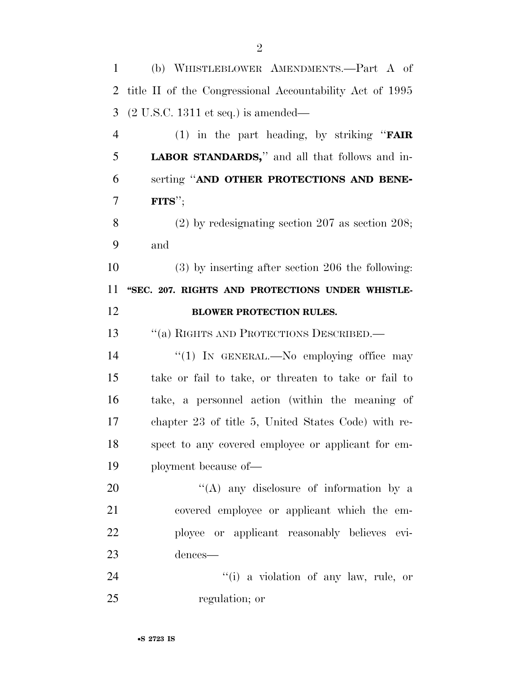| $\mathbf{1}$   | (b) WHISTLEBLOWER AMENDMENTS.-Part A of                  |
|----------------|----------------------------------------------------------|
| 2              | title II of the Congressional Accountability Act of 1995 |
| 3              | $(2 U.S.C. 1311 et seq.)$ is amended—                    |
| $\overline{4}$ | (1) in the part heading, by striking " <b>FAIR</b>       |
| 5              | <b>LABOR STANDARDS</b> ," and all that follows and in-   |
| 6              | serting "AND OTHER PROTECTIONS AND BENE-                 |
| 7              | $\textbf{FITS}''$ ;                                      |
| 8              | $(2)$ by redesignating section 207 as section 208;       |
| 9              | and                                                      |
| 10             | $(3)$ by inserting after section 206 the following:      |
| 11             | "SEC. 207. RIGHTS AND PROTECTIONS UNDER WHISTLE-         |
| 12             | <b>BLOWER PROTECTION RULES.</b>                          |
| 13             | "(a) RIGHTS AND PROTECTIONS DESCRIBED.—                  |
| 14             | "(1) IN GENERAL.—No employing office may                 |
| 15             | take or fail to take, or threaten to take or fail to     |
| 16             | take, a personnel action (within the meaning of          |
| 17             | chapter 23 of title 5, United States Code) with re-      |
| 18             | spect to any covered employee or applicant for em-       |
| 19             | ployment because of—                                     |
| 20             | "(A) any disclosure of information by a                  |
| 21             | covered employee or applicant which the em-              |
| 22             | ployee or applicant reasonably believes evi-             |
| 23             | dences-                                                  |
| 24             | "(i) a violation of any law, rule, or                    |
| 25             | regulation; or                                           |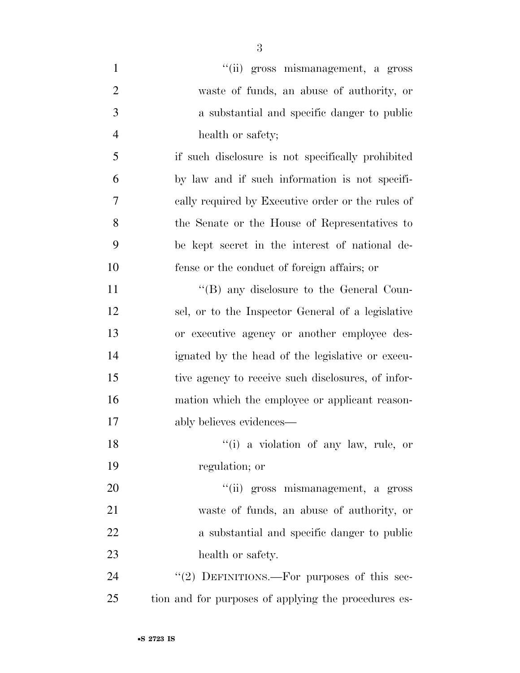| $\mathbf{1}$   | "(ii) gross mismanagement, a gross                   |
|----------------|------------------------------------------------------|
| $\overline{2}$ | waste of funds, an abuse of authority, or            |
| 3              | a substantial and specific danger to public          |
| $\overline{4}$ | health or safety;                                    |
| 5              | if such disclosure is not specifically prohibited    |
| 6              | by law and if such information is not specifi-       |
| 7              | cally required by Executive order or the rules of    |
| 8              | the Senate or the House of Representatives to        |
| 9              | be kept secret in the interest of national de-       |
| 10             | fense or the conduct of foreign affairs; or          |
| 11             | "(B) any disclosure to the General Coun-             |
| 12             | sel, or to the Inspector General of a legislative    |
| 13             | or executive agency or another employee des-         |
| 14             | ignated by the head of the legislative or execu-     |
| 15             | tive agency to receive such disclosures, of infor-   |
| 16             | mation which the employee or applicant reason-       |
| 17             | ably believes evidences—                             |
| 18             | "(i) a violation of any law, rule, or                |
| 19             | regulation; or                                       |
| 20             | "(ii) gross mismanagement, a gross                   |
| 21             | waste of funds, an abuse of authority, or            |
| 22             | a substantial and specific danger to public          |
| 23             | health or safety.                                    |
| 24             | "(2) DEFINITIONS.—For purposes of this sec-          |
| 25             | tion and for purposes of applying the procedures es- |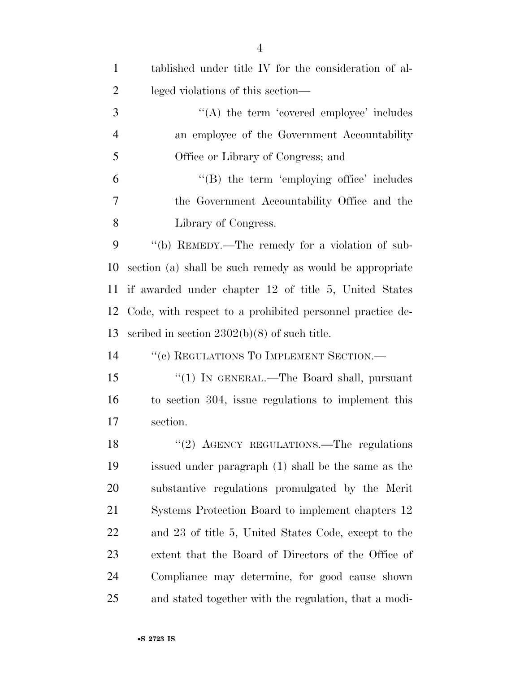| $\mathbf{1}$   | tablished under title IV for the consideration of al-     |
|----------------|-----------------------------------------------------------|
| $\overline{2}$ | leged violations of this section—                         |
| 3              | $\lq\lq$ the term 'covered employee' includes             |
| $\overline{4}$ | an employee of the Government Accountability              |
| 5              | Office or Library of Congress; and                        |
| 6              | $\lq\lq$ the term 'employing office' includes             |
| 7              | the Government Accountability Office and the              |
| 8              | Library of Congress.                                      |
| 9              | "(b) REMEDY.—The remedy for a violation of sub-           |
| 10             | section (a) shall be such remedy as would be appropriate  |
| 11             | if awarded under chapter 12 of title 5, United States     |
| 12             | Code, with respect to a prohibited personnel practice de- |
| 13             | scribed in section $2302(b)(8)$ of such title.            |
| 14             | "(c) REGULATIONS TO IMPLEMENT SECTION.-                   |
| 15             | "(1) IN GENERAL.—The Board shall, pursuant                |
| 16             | to section 304, issue regulations to implement this       |
| 17             | section.                                                  |
| 18             | "(2) AGENCY REGULATIONS.—The regulations                  |
| 19             | issued under paragraph (1) shall be the same as the       |
| 20             | substantive regulations promulgated by the Merit          |
| 21             | Systems Protection Board to implement chapters 12         |
| 22             | and 23 of title 5, United States Code, except to the      |
| 23             | extent that the Board of Directors of the Office of       |
| 24             | Compliance may determine, for good cause shown            |
| 25             | and stated together with the regulation, that a modi-     |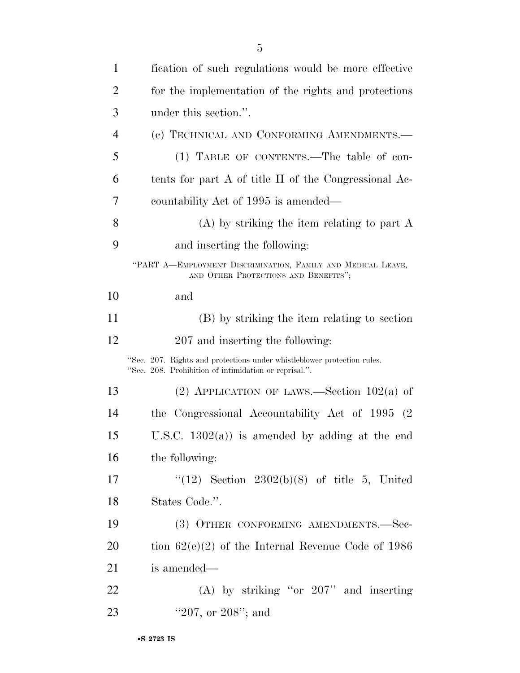| $\mathbf{1}$   | fication of such regulations would be more effective                                                                             |
|----------------|----------------------------------------------------------------------------------------------------------------------------------|
| $\overline{2}$ | for the implementation of the rights and protections                                                                             |
| 3              | under this section.".                                                                                                            |
| 4              | (c) TECHNICAL AND CONFORMING AMENDMENTS.-                                                                                        |
| 5              | (1) TABLE OF CONTENTS.—The table of con-                                                                                         |
| 6              | tents for part A of title II of the Congressional Ac-                                                                            |
| 7              | countability Act of 1995 is amended—                                                                                             |
| 8              | $(A)$ by striking the item relating to part A                                                                                    |
| 9              | and inserting the following:                                                                                                     |
|                | "PART A-EMPLOYMENT DISCRIMINATION, FAMILY AND MEDICAL LEAVE,<br>AND OTHER PROTECTIONS AND BENEFITS";                             |
| 10             | and                                                                                                                              |
| 11             | (B) by striking the item relating to section                                                                                     |
| 12             | 207 and inserting the following:                                                                                                 |
|                | "Sec. 207. Rights and protections under whistleblower protection rules.<br>"Sec. 208. Prohibition of intimidation or reprisal.". |
| 13             | (2) APPLICATION OF LAWS.—Section $102(a)$ of                                                                                     |
| 14             | the Congressional Accountability Act of 1995 (2)                                                                                 |
| 15             | U.S.C. $1302(a)$ is amended by adding at the end                                                                                 |
| 16             | the following:                                                                                                                   |
| 17             | " $(12)$ Section $2302(b)(8)$ of title 5, United                                                                                 |
| 18             | States Code.".                                                                                                                   |
| 19             | (3) OTHER CONFORMING AMENDMENTS.-Sec-                                                                                            |
| 20             | tion $62(e)(2)$ of the Internal Revenue Code of 1986                                                                             |
| 21             | is amended—                                                                                                                      |
| 22             | (A) by striking "or $207$ " and inserting                                                                                        |
| 23             | "207, or $208$ "; and                                                                                                            |